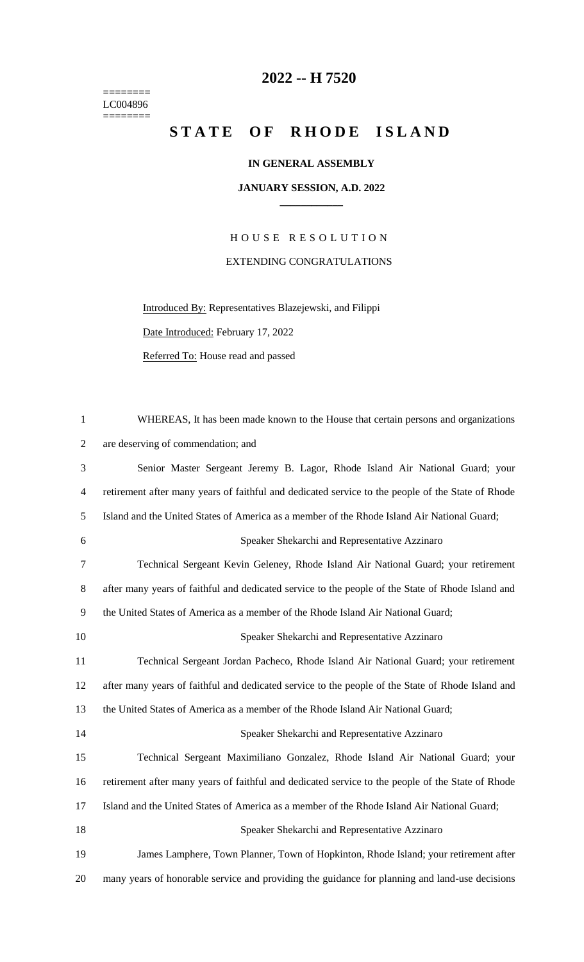======== LC004896  $=$ 

## **-- H 7520**

## STATE OF RHODE ISLAND

## **IN GENERAL ASSEMBLY**

## **JANUARY SESSION, A.D. 2022 \_\_\_\_\_\_\_\_\_\_\_\_**

H O U S E R E S O L U T I O N EXTENDING CONGRATULATIONS

Introduced By: Representatives Blazejewski, and Filippi Date Introduced: February 17, 2022 Referred To: House read and passed

| $\mathbf{1}$   | WHEREAS, It has been made known to the House that certain persons and organizations               |
|----------------|---------------------------------------------------------------------------------------------------|
| $\overline{2}$ | are deserving of commendation; and                                                                |
| 3              | Senior Master Sergeant Jeremy B. Lagor, Rhode Island Air National Guard; your                     |
| $\overline{4}$ | retirement after many years of faithful and dedicated service to the people of the State of Rhode |
| 5              | Island and the United States of America as a member of the Rhode Island Air National Guard;       |
| 6              | Speaker Shekarchi and Representative Azzinaro                                                     |
| $\tau$         | Technical Sergeant Kevin Geleney, Rhode Island Air National Guard; your retirement                |
| $8\,$          | after many years of faithful and dedicated service to the people of the State of Rhode Island and |
| 9              | the United States of America as a member of the Rhode Island Air National Guard;                  |
| 10             | Speaker Shekarchi and Representative Azzinaro                                                     |
| 11             | Technical Sergeant Jordan Pacheco, Rhode Island Air National Guard; your retirement               |
| 12             | after many years of faithful and dedicated service to the people of the State of Rhode Island and |
| 13             | the United States of America as a member of the Rhode Island Air National Guard;                  |
| 14             | Speaker Shekarchi and Representative Azzinaro                                                     |
| 15             | Technical Sergeant Maximiliano Gonzalez, Rhode Island Air National Guard; your                    |
| 16             | retirement after many years of faithful and dedicated service to the people of the State of Rhode |
| 17             | Island and the United States of America as a member of the Rhode Island Air National Guard;       |
| 18             | Speaker Shekarchi and Representative Azzinaro                                                     |
| 19             | James Lamphere, Town Planner, Town of Hopkinton, Rhode Island; your retirement after              |
| 20             | many years of honorable service and providing the guidance for planning and land-use decisions    |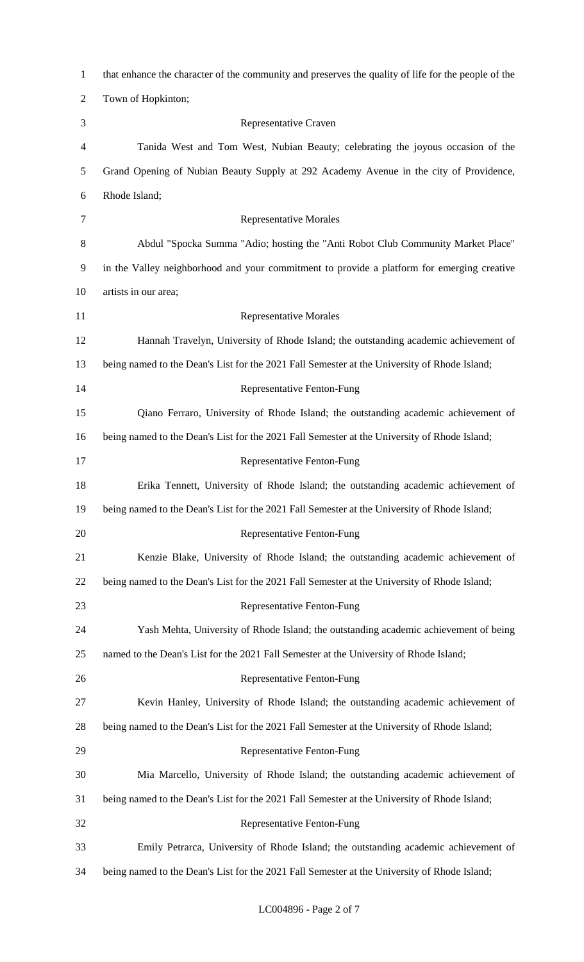| $\mathbf{1}$   | that enhance the character of the community and preserves the quality of life for the people of the |
|----------------|-----------------------------------------------------------------------------------------------------|
| $\overline{2}$ | Town of Hopkinton;                                                                                  |
| 3              | Representative Craven                                                                               |
| 4              | Tanida West and Tom West, Nubian Beauty; celebrating the joyous occasion of the                     |
| 5              | Grand Opening of Nubian Beauty Supply at 292 Academy Avenue in the city of Providence,              |
| 6              | Rhode Island;                                                                                       |
| 7              | <b>Representative Morales</b>                                                                       |
| 8              | Abdul "Spocka Summa "Adio; hosting the "Anti Robot Club Community Market Place"                     |
| 9              | in the Valley neighborhood and your commitment to provide a platform for emerging creative          |
| 10             | artists in our area;                                                                                |
| 11             | <b>Representative Morales</b>                                                                       |
| 12             | Hannah Travelyn, University of Rhode Island; the outstanding academic achievement of                |
| 13             | being named to the Dean's List for the 2021 Fall Semester at the University of Rhode Island;        |
| 14             | Representative Fenton-Fung                                                                          |
| 15             | Qiano Ferraro, University of Rhode Island; the outstanding academic achievement of                  |
| 16             | being named to the Dean's List for the 2021 Fall Semester at the University of Rhode Island;        |
| 17             | Representative Fenton-Fung                                                                          |
| 18             | Erika Tennett, University of Rhode Island; the outstanding academic achievement of                  |
| 19             | being named to the Dean's List for the 2021 Fall Semester at the University of Rhode Island;        |
| 20             | Representative Fenton-Fung                                                                          |
| 21             | Kenzie Blake, University of Rhode Island; the outstanding academic achievement of                   |
| 22             | being named to the Dean's List for the 2021 Fall Semester at the University of Rhode Island;        |
| 23             | Representative Fenton-Fung                                                                          |
| 24             | Yash Mehta, University of Rhode Island; the outstanding academic achievement of being               |
| 25             | named to the Dean's List for the 2021 Fall Semester at the University of Rhode Island;              |
| 26             | Representative Fenton-Fung                                                                          |
| 27             | Kevin Hanley, University of Rhode Island; the outstanding academic achievement of                   |
| 28             | being named to the Dean's List for the 2021 Fall Semester at the University of Rhode Island;        |
| 29             | Representative Fenton-Fung                                                                          |
| 30             | Mia Marcello, University of Rhode Island; the outstanding academic achievement of                   |
| 31             | being named to the Dean's List for the 2021 Fall Semester at the University of Rhode Island;        |
| 32             | Representative Fenton-Fung                                                                          |
| 33             | Emily Petrarca, University of Rhode Island; the outstanding academic achievement of                 |
| 34             | being named to the Dean's List for the 2021 Fall Semester at the University of Rhode Island;        |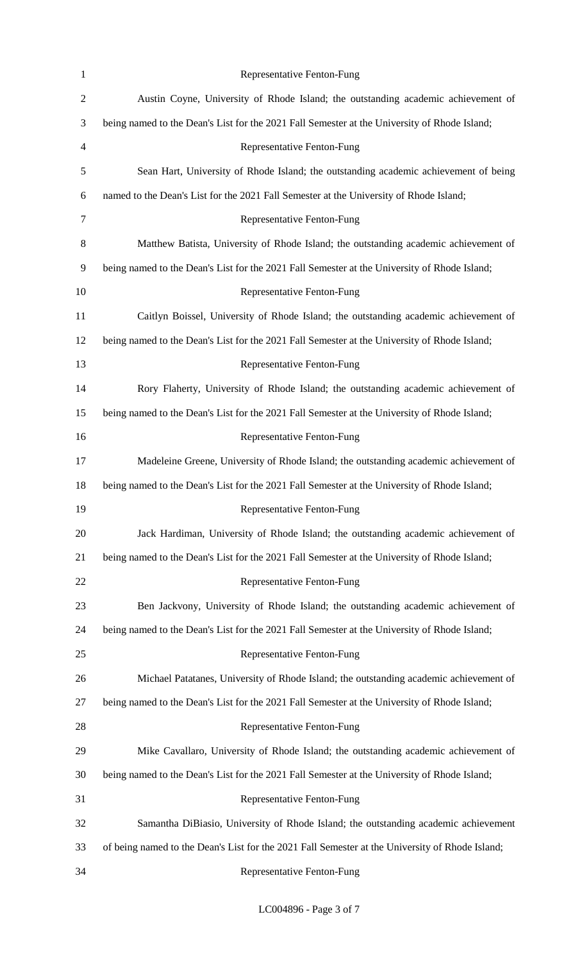| $\mathbf{1}$ | Representative Fenton-Fung                                                                      |
|--------------|-------------------------------------------------------------------------------------------------|
| $\sqrt{2}$   | Austin Coyne, University of Rhode Island; the outstanding academic achievement of               |
| 3            | being named to the Dean's List for the 2021 Fall Semester at the University of Rhode Island;    |
| 4            | Representative Fenton-Fung                                                                      |
| 5            | Sean Hart, University of Rhode Island; the outstanding academic achievement of being            |
| 6            | named to the Dean's List for the 2021 Fall Semester at the University of Rhode Island;          |
| 7            | Representative Fenton-Fung                                                                      |
| $8\,$        | Matthew Batista, University of Rhode Island; the outstanding academic achievement of            |
| 9            | being named to the Dean's List for the 2021 Fall Semester at the University of Rhode Island;    |
| 10           | Representative Fenton-Fung                                                                      |
| 11           | Caitlyn Boissel, University of Rhode Island; the outstanding academic achievement of            |
| 12           | being named to the Dean's List for the 2021 Fall Semester at the University of Rhode Island;    |
| 13           | Representative Fenton-Fung                                                                      |
| 14           | Rory Flaherty, University of Rhode Island; the outstanding academic achievement of              |
| 15           | being named to the Dean's List for the 2021 Fall Semester at the University of Rhode Island;    |
| 16           | Representative Fenton-Fung                                                                      |
| 17           | Madeleine Greene, University of Rhode Island; the outstanding academic achievement of           |
| 18           | being named to the Dean's List for the 2021 Fall Semester at the University of Rhode Island;    |
| 19           | Representative Fenton-Fung                                                                      |
| 20           | Jack Hardiman, University of Rhode Island; the outstanding academic achievement of              |
| 21           | being named to the Dean's List for the 2021 Fall Semester at the University of Rhode Island;    |
| 22           | Representative Fenton-Fung                                                                      |
| 23           | Ben Jackvony, University of Rhode Island; the outstanding academic achievement of               |
| 24           | being named to the Dean's List for the 2021 Fall Semester at the University of Rhode Island;    |
| 25           | Representative Fenton-Fung                                                                      |
| 26           | Michael Patatanes, University of Rhode Island; the outstanding academic achievement of          |
| 27           | being named to the Dean's List for the 2021 Fall Semester at the University of Rhode Island;    |
| 28           | Representative Fenton-Fung                                                                      |
| 29           | Mike Cavallaro, University of Rhode Island; the outstanding academic achievement of             |
| 30           | being named to the Dean's List for the 2021 Fall Semester at the University of Rhode Island;    |
| 31           | Representative Fenton-Fung                                                                      |
| 32           | Samantha DiBiasio, University of Rhode Island; the outstanding academic achievement             |
| 33           | of being named to the Dean's List for the 2021 Fall Semester at the University of Rhode Island; |
| 34           | Representative Fenton-Fung                                                                      |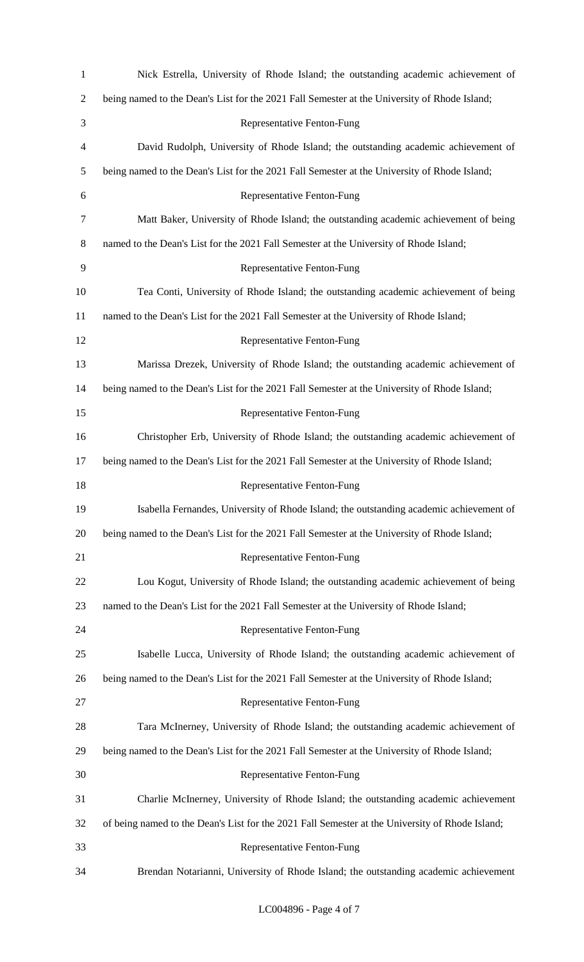| $\mathbf{1}$   | Nick Estrella, University of Rhode Island; the outstanding academic achievement of              |
|----------------|-------------------------------------------------------------------------------------------------|
| $\overline{2}$ | being named to the Dean's List for the 2021 Fall Semester at the University of Rhode Island;    |
| 3              | Representative Fenton-Fung                                                                      |
| 4              | David Rudolph, University of Rhode Island; the outstanding academic achievement of              |
| 5              | being named to the Dean's List for the 2021 Fall Semester at the University of Rhode Island;    |
| 6              | Representative Fenton-Fung                                                                      |
| 7              | Matt Baker, University of Rhode Island; the outstanding academic achievement of being           |
| 8              | named to the Dean's List for the 2021 Fall Semester at the University of Rhode Island;          |
| 9              | Representative Fenton-Fung                                                                      |
| 10             | Tea Conti, University of Rhode Island; the outstanding academic achievement of being            |
| 11             | named to the Dean's List for the 2021 Fall Semester at the University of Rhode Island;          |
| 12             | Representative Fenton-Fung                                                                      |
| 13             | Marissa Drezek, University of Rhode Island; the outstanding academic achievement of             |
| 14             | being named to the Dean's List for the 2021 Fall Semester at the University of Rhode Island;    |
| 15             | Representative Fenton-Fung                                                                      |
| 16             | Christopher Erb, University of Rhode Island; the outstanding academic achievement of            |
| 17             | being named to the Dean's List for the 2021 Fall Semester at the University of Rhode Island;    |
| 18             | Representative Fenton-Fung                                                                      |
| 19             | Isabella Fernandes, University of Rhode Island; the outstanding academic achievement of         |
| 20             | being named to the Dean's List for the 2021 Fall Semester at the University of Rhode Island;    |
| 21             | Representative Fenton-Fung                                                                      |
| 22             | Lou Kogut, University of Rhode Island; the outstanding academic achievement of being            |
| 23             | named to the Dean's List for the 2021 Fall Semester at the University of Rhode Island;          |
| 24             | Representative Fenton-Fung                                                                      |
| 25             | Isabelle Lucca, University of Rhode Island; the outstanding academic achievement of             |
| 26             | being named to the Dean's List for the 2021 Fall Semester at the University of Rhode Island;    |
| 27             | Representative Fenton-Fung                                                                      |
| 28             | Tara McInerney, University of Rhode Island; the outstanding academic achievement of             |
| 29             | being named to the Dean's List for the 2021 Fall Semester at the University of Rhode Island;    |
| 30             | <b>Representative Fenton-Fung</b>                                                               |
| 31             | Charlie McInerney, University of Rhode Island; the outstanding academic achievement             |
| 32             | of being named to the Dean's List for the 2021 Fall Semester at the University of Rhode Island; |
| 33             | Representative Fenton-Fung                                                                      |
| 34             | Brendan Notarianni, University of Rhode Island; the outstanding academic achievement            |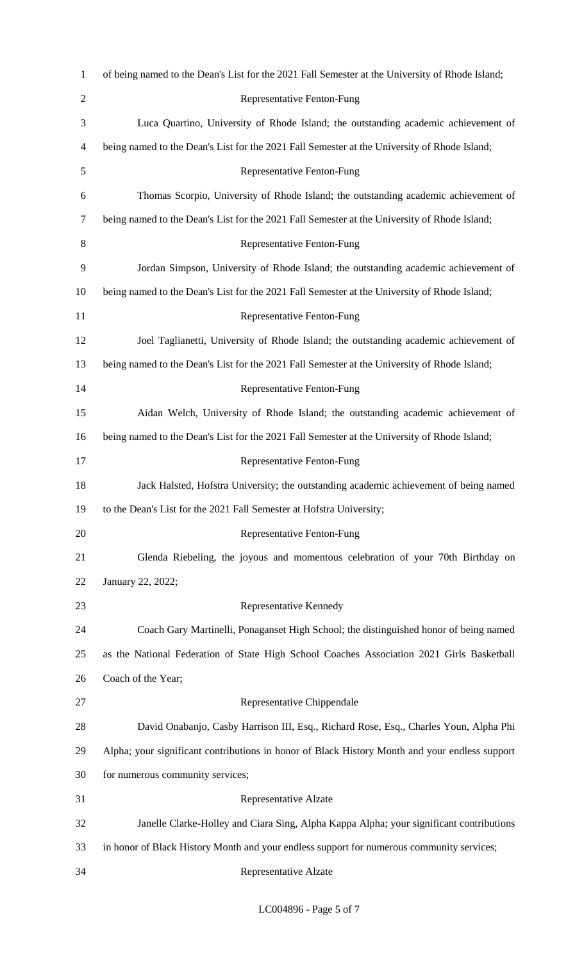| $\mathbf{1}$   | of being named to the Dean's List for the 2021 Fall Semester at the University of Rhode Island; |
|----------------|-------------------------------------------------------------------------------------------------|
| $\overline{2}$ | <b>Representative Fenton-Fung</b>                                                               |
| 3              | Luca Quartino, University of Rhode Island; the outstanding academic achievement of              |
| 4              | being named to the Dean's List for the 2021 Fall Semester at the University of Rhode Island;    |
| 5              | Representative Fenton-Fung                                                                      |
| 6              | Thomas Scorpio, University of Rhode Island; the outstanding academic achievement of             |
| 7              | being named to the Dean's List for the 2021 Fall Semester at the University of Rhode Island;    |
| 8              | <b>Representative Fenton-Fung</b>                                                               |
| 9              | Jordan Simpson, University of Rhode Island; the outstanding academic achievement of             |
| 10             | being named to the Dean's List for the 2021 Fall Semester at the University of Rhode Island;    |
| 11             | Representative Fenton-Fung                                                                      |
| 12             | Joel Taglianetti, University of Rhode Island; the outstanding academic achievement of           |
| 13             | being named to the Dean's List for the 2021 Fall Semester at the University of Rhode Island;    |
| 14             | Representative Fenton-Fung                                                                      |
| 15             | Aidan Welch, University of Rhode Island; the outstanding academic achievement of                |
| 16             | being named to the Dean's List for the 2021 Fall Semester at the University of Rhode Island;    |
| 17             | Representative Fenton-Fung                                                                      |
| 18             | Jack Halsted, Hofstra University; the outstanding academic achievement of being named           |
| 19             | to the Dean's List for the 2021 Fall Semester at Hofstra University;                            |
| 20             | <b>Representative Fenton-Fung</b>                                                               |
| 21             | Glenda Riebeling, the joyous and momentous celebration of your 70th Birthday on                 |
| 22             | January 22, 2022;                                                                               |
| 23             | Representative Kennedy                                                                          |
| 24             | Coach Gary Martinelli, Ponaganset High School; the distinguished honor of being named           |
| 25             | as the National Federation of State High School Coaches Association 2021 Girls Basketball       |
| 26             | Coach of the Year;                                                                              |
| 27             | Representative Chippendale                                                                      |
| 28             | David Onabanjo, Casby Harrison III, Esq., Richard Rose, Esq., Charles Youn, Alpha Phi           |
| 29             | Alpha; your significant contributions in honor of Black History Month and your endless support  |
| 30             | for numerous community services;                                                                |
| 31             | Representative Alzate                                                                           |
| 32             | Janelle Clarke-Holley and Ciara Sing, Alpha Kappa Alpha; your significant contributions         |
| 33             | in honor of Black History Month and your endless support for numerous community services;       |
| 34             | Representative Alzate                                                                           |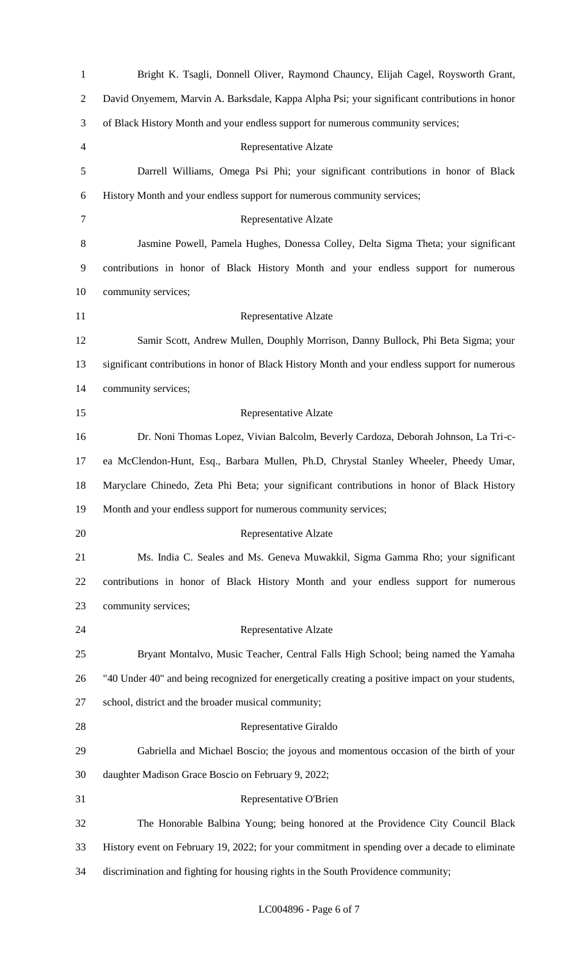| $\mathbf{1}$   | Bright K. Tsagli, Donnell Oliver, Raymond Chauncy, Elijah Cagel, Roysworth Grant,                 |
|----------------|---------------------------------------------------------------------------------------------------|
| $\overline{2}$ | David Onyemem, Marvin A. Barksdale, Kappa Alpha Psi; your significant contributions in honor      |
| 3              | of Black History Month and your endless support for numerous community services;                  |
| $\overline{4}$ | <b>Representative Alzate</b>                                                                      |
| 5              | Darrell Williams, Omega Psi Phi; your significant contributions in honor of Black                 |
| 6              | History Month and your endless support for numerous community services;                           |
| 7              | <b>Representative Alzate</b>                                                                      |
| 8              | Jasmine Powell, Pamela Hughes, Donessa Colley, Delta Sigma Theta; your significant                |
| 9              | contributions in honor of Black History Month and your endless support for numerous               |
| 10             | community services;                                                                               |
| 11             | <b>Representative Alzate</b>                                                                      |
| 12             | Samir Scott, Andrew Mullen, Douphly Morrison, Danny Bullock, Phi Beta Sigma; your                 |
| 13             | significant contributions in honor of Black History Month and your endless support for numerous   |
| 14             | community services;                                                                               |
| 15             | <b>Representative Alzate</b>                                                                      |
| 16             | Dr. Noni Thomas Lopez, Vivian Balcolm, Beverly Cardoza, Deborah Johnson, La Tri-c-                |
| 17             | ea McClendon-Hunt, Esq., Barbara Mullen, Ph.D, Chrystal Stanley Wheeler, Pheedy Umar,             |
| 18             | Maryclare Chinedo, Zeta Phi Beta; your significant contributions in honor of Black History        |
| 19             | Month and your endless support for numerous community services;                                   |
| 20             | Representative Alzate                                                                             |
| 21             | Ms. India C. Seales and Ms. Geneva Muwakkil, Sigma Gamma Rho; your significant                    |
| 22             | contributions in honor of Black History Month and your endless support for numerous               |
| 23             | community services;                                                                               |
| 24             | Representative Alzate                                                                             |
| 25             | Bryant Montalvo, Music Teacher, Central Falls High School; being named the Yamaha                 |
| 26             | "40 Under 40" and being recognized for energetically creating a positive impact on your students, |
| 27             | school, district and the broader musical community;                                               |
| 28             | Representative Giraldo                                                                            |
| 29             | Gabriella and Michael Boscio; the joyous and momentous occasion of the birth of your              |
| 30             | daughter Madison Grace Boscio on February 9, 2022;                                                |
| 31             | Representative O'Brien                                                                            |
| 32             | The Honorable Balbina Young; being honored at the Providence City Council Black                   |
| 33             | History event on February 19, 2022; for your commitment in spending over a decade to eliminate    |
| 34             | discrimination and fighting for housing rights in the South Providence community;                 |